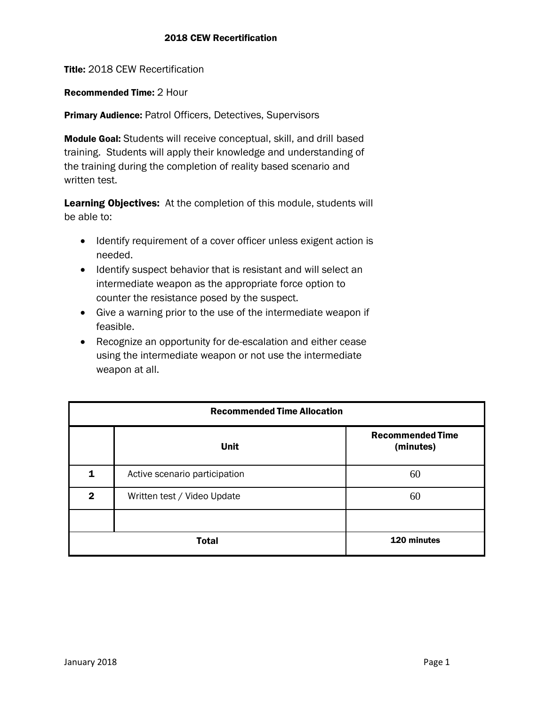Title: 2018 CEW Recertification

Recommended Time: 2 Hour

Primary Audience: Patrol Officers, Detectives, Supervisors

Module Goal: Students will receive conceptual, skill, and drill based training. Students will apply their knowledge and understanding of the training during the completion of reality based scenario and written test.

Learning Objectives: At the completion of this module, students will be able to:

- Identify requirement of a cover officer unless exigent action is needed.
- Identify suspect behavior that is resistant and will select an intermediate weapon as the appropriate force option to counter the resistance posed by the suspect.
- Give a warning prior to the use of the intermediate weapon if feasible.
- Recognize an opportunity for de-escalation and either cease using the intermediate weapon or not use the intermediate weapon at all.

| <b>Recommended Time Allocation</b> |                               |                                      |
|------------------------------------|-------------------------------|--------------------------------------|
|                                    | <b>Unit</b>                   | <b>Recommended Time</b><br>(minutes) |
| 1                                  | Active scenario participation | 60                                   |
| $\mathbf{2}$                       | Written test / Video Update   | 60                                   |
|                                    |                               |                                      |
| <b>Total</b>                       |                               | 120 minutes                          |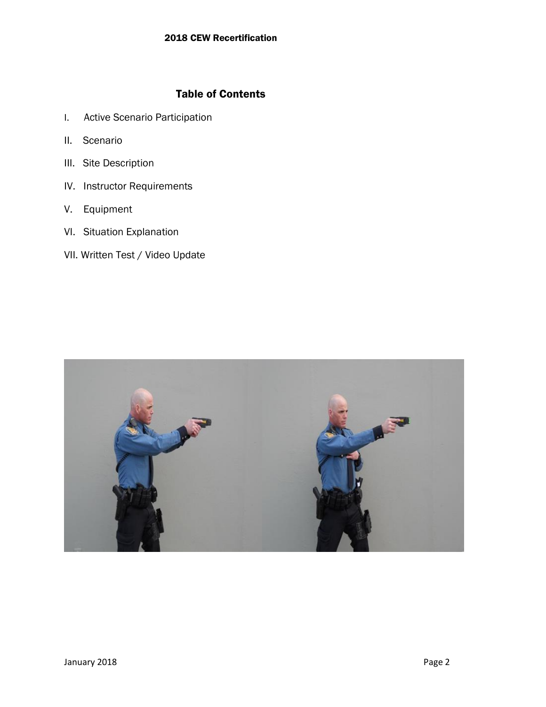# Table of Contents

- I. Active Scenario Participation
- II. Scenario
- III. Site Description
- IV. Instructor Requirements
- V. Equipment
- VI. Situation Explanation
- VII. Written Test / Video Update

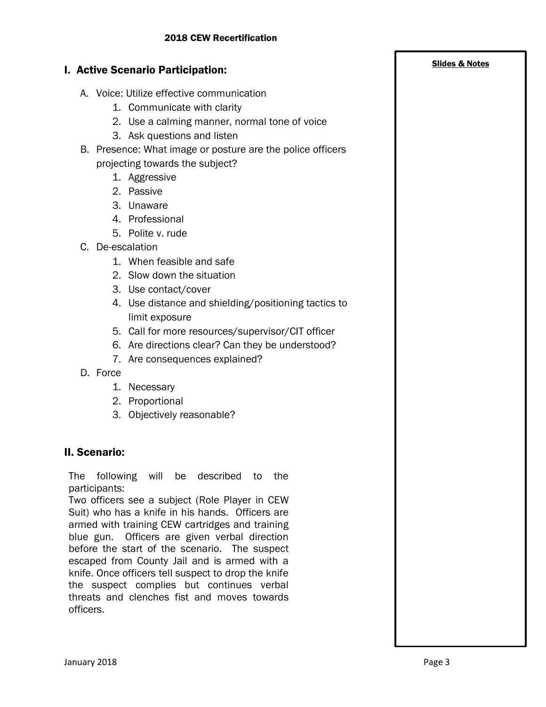2. Use a calming manner, normal tone of voice

B. Presence: What image or posture are the police officers

#### C. De-escalation

- 1. When feasible and safe
- 2. Slow down the situation
- 3. Use contact/cover

I. Active Scenario Participation:

1. Aggressive 2. Passive 3. Unaware 4. Professional 5. Polite v. rude

A. Voice: Utilize effective communication 1. Communicate with clarity

3. Ask questions and listen

projecting towards the subject?

- 4. Use distance and shielding/positioning tactics to limit exposure
- 5. Call for more resources/supervisor/CIT officer
- 6. Are directions clear? Can they be understood?
- 7. Are consequences explained?
- D. Force
	- 1. Necessary
	- 2. Proportional
	- 3. Objectively reasonable?

### II. Scenario:

The following will be described to the participants:

Two officers see a subject (Role Player in CEW Suit) who has a knife in his hands. Officers are armed with training CEW cartridges and training blue gun. Officers are given verbal direction before the start of the scenario. The suspect escaped from County Jail and is armed with a knife. Once officers tell suspect to drop the knife the suspect complies but continues verbal threats and clenches fist and moves towards officers.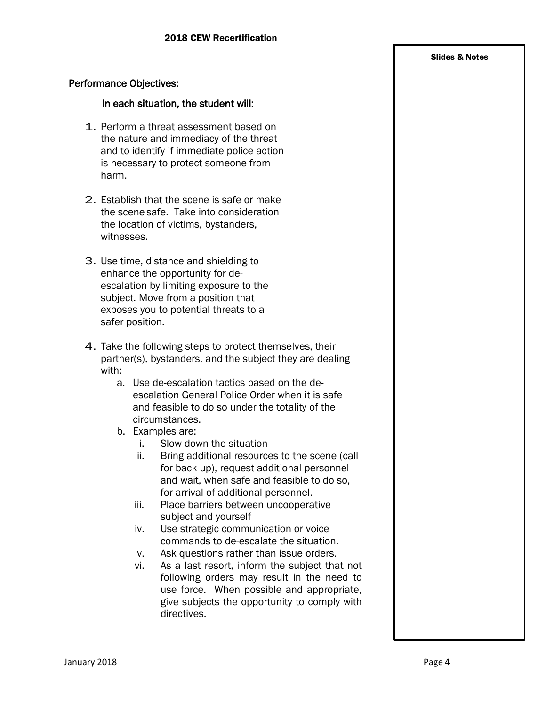#### Slides & Notes

### Performance Objectives:

### In each situation, the student will:

- 1. Perform a threat assessment based on the nature and immediacy of the threat and to identify if immediate police action is necessary to protect someone from harm.
- 2. Establish that the scene is safe or make the scene safe. Take into consideration the location of victims, bystanders, witnesses.
- 3. Use time, distance and shielding to enhance the opportunity for deescalation by limiting exposure to the subject. Move from a position that exposes you to potential threats to a safer position.
- 4. Take the following steps to protect themselves, their partner(s), bystanders, and the subject they are dealing with:
	- a. Use de-escalation tactics based on the deescalation General Police Order when it is safe and feasible to do so under the totality of the circumstances.
	- b. Examples are:
		- i. Slow down the situation
		- ii. Bring additional resources to the scene (call for back up), request additional personnel and wait, when safe and feasible to do so, for arrival of additional personnel.
		- iii. Place barriers between uncooperative subject and yourself
		- iv. Use strategic communication or voice commands to de-escalate the situation.
		- v. Ask questions rather than issue orders.
		- vi. As a last resort, inform the subject that not following orders may result in the need to use force. When possible and appropriate, give subjects the opportunity to comply with directives.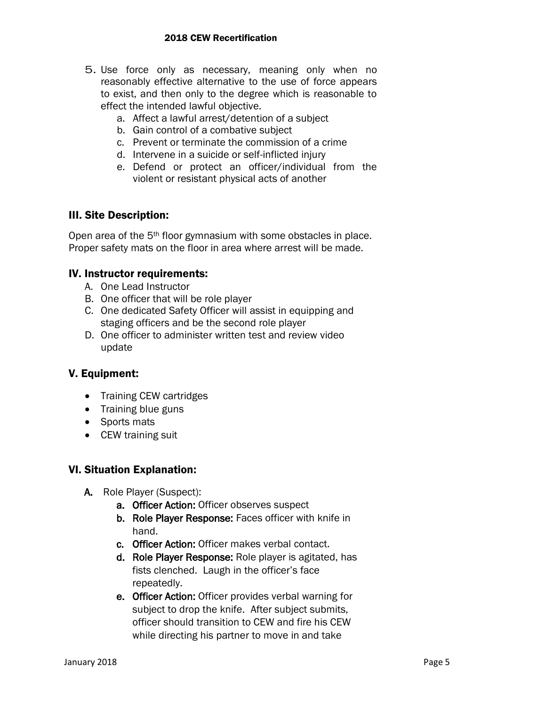- 5. Use force only as necessary, meaning only when no reasonably effective alternative to the use of force appears to exist, and then only to the degree which is reasonable to effect the intended lawful objective.
	- a. Affect a lawful arrest/detention of a subject
	- b. Gain control of a combative subject
	- c. Prevent or terminate the commission of a crime
	- d. Intervene in a suicide or self-inflicted injury
	- e. Defend or protect an officer/individual from the violent or resistant physical acts of another

## III. Site Description:

Open area of the 5<sup>th</sup> floor gymnasium with some obstacles in place. Proper safety mats on the floor in area where arrest will be made.

## IV. Instructor requirements:

- A. One Lead Instructor
- B. One officer that will be role player
- C. One dedicated Safety Officer will assist in equipping and staging officers and be the second role player
- D. One officer to administer written test and review video update

## V. Equipment:

- Training CEW cartridges
- Training blue guns
- Sports mats
- CEW training suit

## VI. Situation Explanation:

- A. Role Player (Suspect):
	- a. Officer Action: Officer observes suspect
	- b. Role Player Response: Faces officer with knife in hand.
	- c. Officer Action: Officer makes verbal contact.
	- d. Role Player Response: Role player is agitated, has fists clenched. Laugh in the officer's face repeatedly.
	- e. Officer Action: Officer provides verbal warning for subject to drop the knife. After subject submits, officer should transition to CEW and fire his CEW while directing his partner to move in and take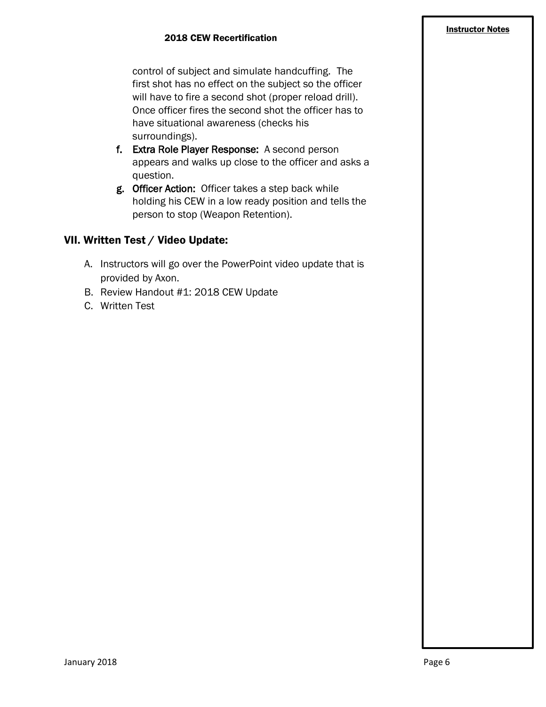control of subject and simulate handcuffing. The first shot has no effect on the subject so the officer will have to fire a second shot (proper reload drill). Once officer fires the second shot the officer has to have situational awareness (checks his surroundings).

- f. Extra Role Player Response: A second person appears and walks up close to the officer and asks a question.
- g. Officer Action: Officer takes a step back while holding his CEW in a low ready position and tells the person to stop (Weapon Retention).

# VII. Written Test / Video Update:

- A. Instructors will go over the PowerPoint video update that is provided by Axon.
- B. Review Handout #1: 2018 CEW Update
- C. Written Test